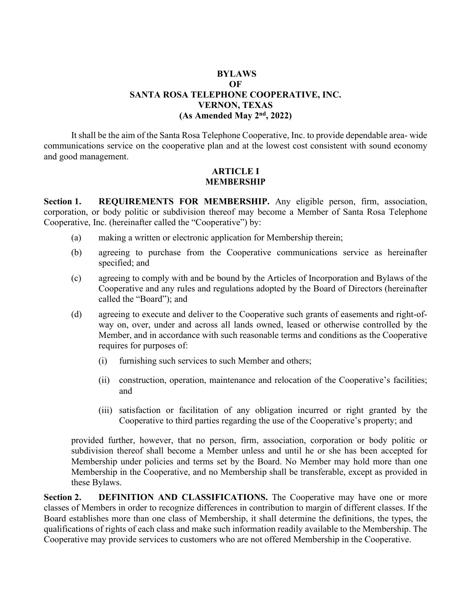### **BYLAWS OF SANTA ROSA TELEPHONE COOPERATIVE, INC. VERNON, TEXAS (As Amended May 2nd, 2022)**

It shall be the aim of the Santa Rosa Telephone Cooperative, Inc. to provide dependable area- wide communications service on the cooperative plan and at the lowest cost consistent with sound economy and good management.

#### **ARTICLE I MEMBERSHIP**

**Section 1. REQUIREMENTS FOR MEMBERSHIP.** Any eligible person, firm, association, corporation, or body politic or subdivision thereof may become a Member of Santa Rosa Telephone Cooperative, Inc. (hereinafter called the "Cooperative") by:

- (a) making a written or electronic application for Membership therein;
- (b) agreeing to purchase from the Cooperative communications service as hereinafter specified; and
- (c) agreeing to comply with and be bound by the Articles of Incorporation and Bylaws of the Cooperative and any rules and regulations adopted by the Board of Directors (hereinafter called the "Board"); and
- (d) agreeing to execute and deliver to the Cooperative such grants of easements and right-ofway on, over, under and across all lands owned, leased or otherwise controlled by the Member, and in accordance with such reasonable terms and conditions as the Cooperative requires for purposes of:
	- (i) furnishing such services to such Member and others;
	- (ii) construction, operation, maintenance and relocation of the Cooperative's facilities; and
	- (iii) satisfaction or facilitation of any obligation incurred or right granted by the Cooperative to third parties regarding the use of the Cooperative's property; and

provided further, however, that no person, firm, association, corporation or body politic or subdivision thereof shall become a Member unless and until he or she has been accepted for Membership under policies and terms set by the Board. No Member may hold more than one Membership in the Cooperative, and no Membership shall be transferable, except as provided in these Bylaws.

**Section 2. DEFINITION AND CLASSIFICATIONS.** The Cooperative may have one or more classes of Members in order to recognize differences in contribution to margin of different classes. If the Board establishes more than one class of Membership, it shall determine the definitions, the types, the qualifications of rights of each class and make such information readily available to the Membership. The Cooperative may provide services to customers who are not offered Membership in the Cooperative.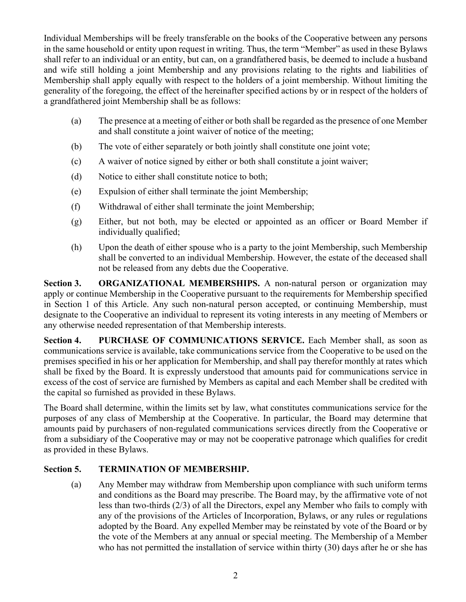Individual Memberships will be freely transferable on the books of the Cooperative between any persons in the same household or entity upon request in writing. Thus, the term "Member" as used in these Bylaws shall refer to an individual or an entity, but can, on a grandfathered basis, be deemed to include a husband and wife still holding a joint Membership and any provisions relating to the rights and liabilities of Membership shall apply equally with respect to the holders of a joint membership. Without limiting the generality of the foregoing, the effect of the hereinafter specified actions by or in respect of the holders of a grandfathered joint Membership shall be as follows:

- (a) The presence at a meeting of either or both shall be regarded as the presence of one Member and shall constitute a joint waiver of notice of the meeting;
- (b) The vote of either separately or both jointly shall constitute one joint vote;
- (c) A waiver of notice signed by either or both shall constitute a joint waiver;
- (d) Notice to either shall constitute notice to both;
- (e) Expulsion of either shall terminate the joint Membership;
- (f) Withdrawal of either shall terminate the joint Membership;
- (g) Either, but not both, may be elected or appointed as an officer or Board Member if individually qualified;
- (h) Upon the death of either spouse who is a party to the joint Membership, such Membership shall be converted to an individual Membership. However, the estate of the deceased shall not be released from any debts due the Cooperative.

**Section 3. ORGANIZATIONAL MEMBERSHIPS.** A non-natural person or organization may apply or continue Membership in the Cooperative pursuant to the requirements for Membership specified in Section 1 of this Article. Any such non-natural person accepted, or continuing Membership, must designate to the Cooperative an individual to represent its voting interests in any meeting of Members or any otherwise needed representation of that Membership interests.

**Section 4. PURCHASE OF COMMUNICATIONS SERVICE.** Each Member shall, as soon as communications service is available, take communications service from the Cooperative to be used on the premises specified in his or her application for Membership, and shall pay therefor monthly at rates which shall be fixed by the Board. It is expressly understood that amounts paid for communications service in excess of the cost of service are furnished by Members as capital and each Member shall be credited with the capital so furnished as provided in these Bylaws.

The Board shall determine, within the limits set by law, what constitutes communications service for the purposes of any class of Membership at the Cooperative. In particular, the Board may determine that amounts paid by purchasers of non-regulated communications services directly from the Cooperative or from a subsidiary of the Cooperative may or may not be cooperative patronage which qualifies for credit as provided in these Bylaws.

## **Section 5. TERMINATION OF MEMBERSHIP.**

(a) Any Member may withdraw from Membership upon compliance with such uniform terms and conditions as the Board may prescribe. The Board may, by the affirmative vote of not less than two-thirds (2/3) of all the Directors, expel any Member who fails to comply with any of the provisions of the Articles of Incorporation, Bylaws, or any rules or regulations adopted by the Board. Any expelled Member may be reinstated by vote of the Board or by the vote of the Members at any annual or special meeting. The Membership of a Member who has not permitted the installation of service within thirty (30) days after he or she has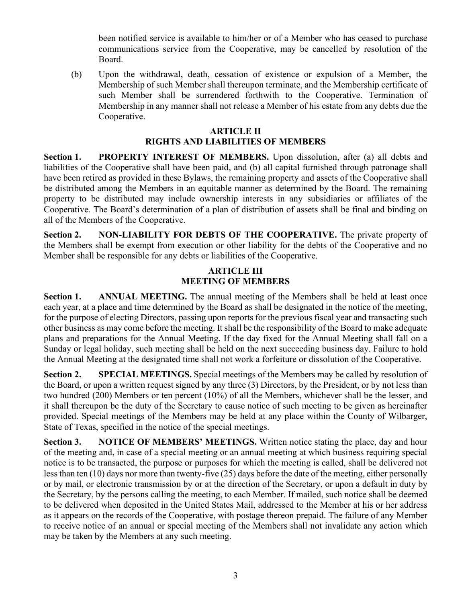been notified service is available to him/her or of a Member who has ceased to purchase communications service from the Cooperative, may be cancelled by resolution of the Board.

(b) Upon the withdrawal, death, cessation of existence or expulsion of a Member, the Membership of such Member shall thereupon terminate, and the Membership certificate of such Member shall be surrendered forthwith to the Cooperative. Termination of Membership in any manner shall not release a Member of his estate from any debts due the Cooperative.

### **ARTICLE II**

# **RIGHTS AND LIABILITIES OF MEMBERS**

**Section 1. PROPERTY INTEREST OF MEMBERS.** Upon dissolution, after (a) all debts and liabilities of the Cooperative shall have been paid, and (b) all capital furnished through patronage shall have been retired as provided in these Bylaws, the remaining property and assets of the Cooperative shall be distributed among the Members in an equitable manner as determined by the Board. The remaining property to be distributed may include ownership interests in any subsidiaries or affiliates of the Cooperative. The Board's determination of a plan of distribution of assets shall be final and binding on all of the Members of the Cooperative.

**Section 2. NON-LIABILITY FOR DEBTS OF THE COOPERATIVE.** The private property of the Members shall be exempt from execution or other liability for the debts of the Cooperative and no Member shall be responsible for any debts or liabilities of the Cooperative.

### **ARTICLE III MEETING OF MEMBERS**

**Section 1. ANNUAL MEETING.** The annual meeting of the Members shall be held at least once each year, at a place and time determined by the Board as shall be designated in the notice of the meeting, for the purpose of electing Directors, passing upon reports for the previous fiscal year and transacting such other business as may come before the meeting. It shall be the responsibility of the Board to make adequate plans and preparations for the Annual Meeting. If the day fixed for the Annual Meeting shall fall on a Sunday or legal holiday, such meeting shall be held on the next succeeding business day. Failure to hold the Annual Meeting at the designated time shall not work a forfeiture or dissolution of the Cooperative.

**Section 2. SPECIAL MEETINGS.** Special meetings of the Members may be called by resolution of the Board, or upon a written request signed by any three (3) Directors, by the President, or by not less than two hundred (200) Members or ten percent (10%) of all the Members, whichever shall be the lesser, and it shall thereupon be the duty of the Secretary to cause notice of such meeting to be given as hereinafter provided. Special meetings of the Members may be held at any place within the County of Wilbarger, State of Texas, specified in the notice of the special meetings.

**Section 3. NOTICE OF MEMBERS' MEETINGS.** Written notice stating the place, day and hour of the meeting and, in case of a special meeting or an annual meeting at which business requiring special notice is to be transacted, the purpose or purposes for which the meeting is called, shall be delivered not less than ten (10) days nor more than twenty-five (25) days before the date of the meeting, either personally or by mail, or electronic transmission by or at the direction of the Secretary, or upon a default in duty by the Secretary, by the persons calling the meeting, to each Member. If mailed, such notice shall be deemed to be delivered when deposited in the United States Mail, addressed to the Member at his or her address as it appears on the records of the Cooperative, with postage thereon prepaid. The failure of any Member to receive notice of an annual or special meeting of the Members shall not invalidate any action which may be taken by the Members at any such meeting.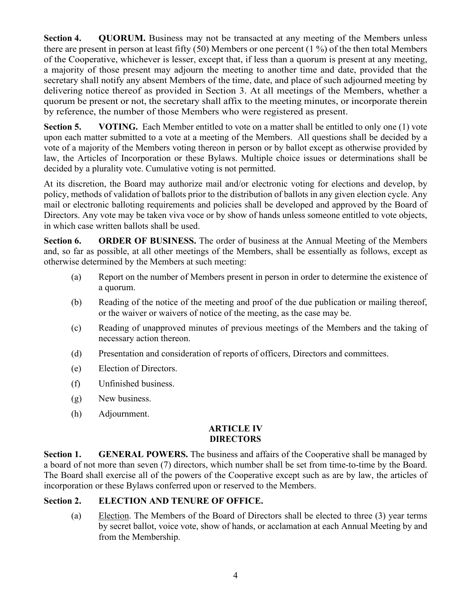**Section 4. •• QUORUM.** Business may not be transacted at any meeting of the Members unless there are present in person at least fifty (50) Members or one percent (1 %) of the then total Members of the Cooperative, whichever is lesser, except that, if less than a quorum is present at any meeting, a majority of those present may adjourn the meeting to another time and date, provided that the secretary shall notify any absent Members of the time, date, and place of such adjourned meeting by delivering notice thereof as provided in Section 3. At all meetings of the Members, whether a quorum be present or not, the secretary shall affix to the meeting minutes, or incorporate therein by reference, the number of those Members who were registered as present.

**Section 5. VOTING.** Each Member entitled to vote on a matter shall be entitled to only one (1) vote upon each matter submitted to a vote at a meeting of the Members. All questions shall be decided by a vote of a majority of the Members voting thereon in person or by ballot except as otherwise provided by law, the Articles of Incorporation or these Bylaws. Multiple choice issues or determinations shall be decided by a plurality vote. Cumulative voting is not permitted.

At its discretion, the Board may authorize mail and/or electronic voting for elections and develop, by policy, methods of validation of ballots prior to the distribution of ballots in any given election cycle. Any mail or electronic balloting requirements and policies shall be developed and approved by the Board of Directors. Any vote may be taken viva voce or by show of hands unless someone entitled to vote objects, in which case written ballots shall be used.

**Section 6. ORDER OF BUSINESS.** The order of business at the Annual Meeting of the Members and, so far as possible, at all other meetings of the Members, shall be essentially as follows, except as otherwise determined by the Members at such meeting:

- (a) Report on the number of Members present in person in order to determine the existence of a quorum.
- (b) Reading of the notice of the meeting and proof of the due publication or mailing thereof, or the waiver or waivers of notice of the meeting, as the case may be.
- (c) Reading of unapproved minutes of previous meetings of the Members and the taking of necessary action thereon.
- (d) Presentation and consideration of reports of officers, Directors and committees.
- (e) Election of Directors.
- (f) Unfinished business.
- (g) New business.
- (h) Adjournment.

## **ARTICLE IV DIRECTORS**

**Section 1. GENERAL POWERS.** The business and affairs of the Cooperative shall be managed by a board of not more than seven (7) directors, which number shall be set from time-to-time by the Board. The Board shall exercise all of the powers of the Cooperative except such as are by law, the articles of incorporation or these Bylaws conferred upon or reserved to the Members.

## **Section 2. ELECTION AND TENURE OF OFFICE.**

(a) Election. The Members of the Board of Directors shall be elected to three (3) year terms by secret ballot, voice vote, show of hands, or acclamation at each Annual Meeting by and from the Membership.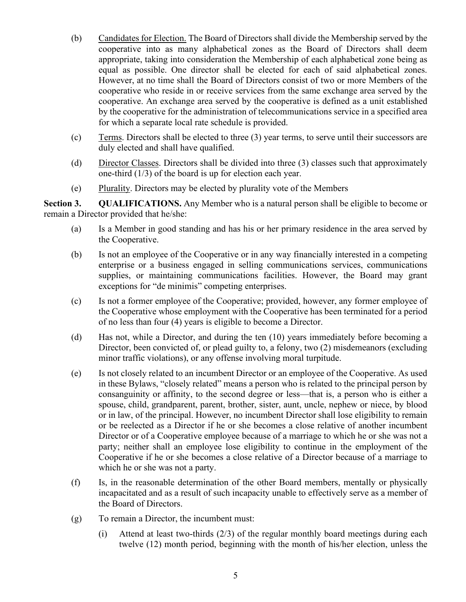- (b) Candidates for Election. The Board of Directors shall divide the Membership served by the cooperative into as many alphabetical zones as the Board of Directors shall deem appropriate, taking into consideration the Membership of each alphabetical zone being as equal as possible. One director shall be elected for each of said alphabetical zones. However, at no time shall the Board of Directors consist of two or more Members of the cooperative who reside in or receive services from the same exchange area served by the cooperative. An exchange area served by the cooperative is defined as a unit established by the cooperative for the administration of telecommunications service in a specified area for which a separate local rate schedule is provided.
- (c) Terms. Directors shall be elected to three (3) year terms, to serve until their successors are duly elected and shall have qualified.
- (d) Director Classes. Directors shall be divided into three (3) classes such that approximately one-third (1/3) of the board is up for election each year.
- (e) Plurality. Directors may be elected by plurality vote of the Members

**Section 3. QUALIFICATIONS.** Any Member who is a natural person shall be eligible to become or remain a Director provided that he/she:

- (a) Is a Member in good standing and has his or her primary residence in the area served by the Cooperative.
- (b) Is not an employee of the Cooperative or in any way financially interested in a competing enterprise or a business engaged in selling communications services, communications supplies, or maintaining communications facilities. However, the Board may grant exceptions for "de minimis" competing enterprises.
- (c) Is not a former employee of the Cooperative; provided, however, any former employee of the Cooperative whose employment with the Cooperative has been terminated for a period of no less than four (4) years is eligible to become a Director.
- (d) Has not, while a Director, and during the ten (10) years immediately before becoming a Director, been convicted of, or plead guilty to, a felony, two (2) misdemeanors (excluding minor traffic violations), or any offense involving moral turpitude.
- (e) Is not closely related to an incumbent Director or an employee of the Cooperative. As used in these Bylaws, "closely related" means a person who is related to the principal person by consanguinity or affinity, to the second degree or less—that is, a person who is either a spouse, child, grandparent, parent, brother, sister, aunt, uncle, nephew or niece, by blood or in law, of the principal. However, no incumbent Director shall lose eligibility to remain or be reelected as a Director if he or she becomes a close relative of another incumbent Director or of a Cooperative employee because of a marriage to which he or she was not a party; neither shall an employee lose eligibility to continue in the employment of the Cooperative if he or she becomes a close relative of a Director because of a marriage to which he or she was not a party.
- (f) Is, in the reasonable determination of the other Board members, mentally or physically incapacitated and as a result of such incapacity unable to effectively serve as a member of the Board of Directors.
- (g) To remain a Director, the incumbent must:
	- (i) Attend at least two-thirds (2/3) of the regular monthly board meetings during each twelve (12) month period, beginning with the month of his/her election, unless the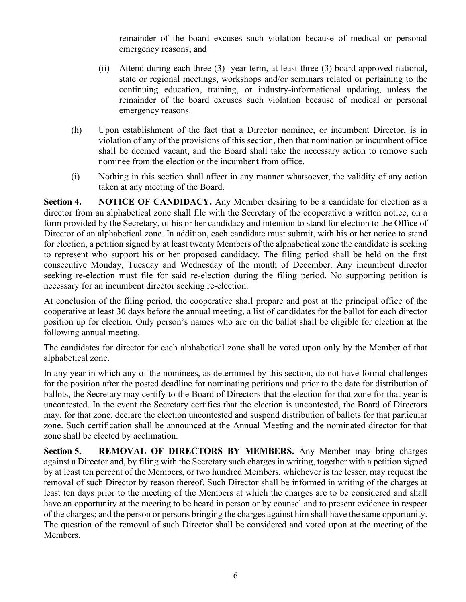remainder of the board excuses such violation because of medical or personal emergency reasons; and

- (ii) Attend during each three (3) -year term, at least three (3) board-approved national, state or regional meetings, workshops and/or seminars related or pertaining to the continuing education, training, or industry-informational updating, unless the remainder of the board excuses such violation because of medical or personal emergency reasons.
- (h) Upon establishment of the fact that a Director nominee, or incumbent Director, is in violation of any of the provisions of this section, then that nomination or incumbent office shall be deemed vacant, and the Board shall take the necessary action to remove such nominee from the election or the incumbent from office.
- (i) Nothing in this section shall affect in any manner whatsoever, the validity of any action taken at any meeting of the Board.

**Section 4. NOTICE OF CANDIDACY.** Any Member desiring to be a candidate for election as a director from an alphabetical zone shall file with the Secretary of the cooperative a written notice, on a form provided by the Secretary, of his or her candidacy and intention to stand for election to the Office of Director of an alphabetical zone. In addition, each candidate must submit, with his or her notice to stand for election, a petition signed by at least twenty Members of the alphabetical zone the candidate is seeking to represent who support his or her proposed candidacy. The filing period shall be held on the first consecutive Monday, Tuesday and Wednesday of the month of December. Any incumbent director seeking re-election must file for said re-election during the filing period. No supporting petition is necessary for an incumbent director seeking re-election.

At conclusion of the filing period, the cooperative shall prepare and post at the principal office of the cooperative at least 30 days before the annual meeting, a list of candidates for the ballot for each director position up for election. Only person's names who are on the ballot shall be eligible for election at the following annual meeting.

The candidates for director for each alphabetical zone shall be voted upon only by the Member of that alphabetical zone.

In any year in which any of the nominees, as determined by this section, do not have formal challenges for the position after the posted deadline for nominating petitions and prior to the date for distribution of ballots, the Secretary may certify to the Board of Directors that the election for that zone for that year is uncontested. In the event the Secretary certifies that the election is uncontested, the Board of Directors may, for that zone, declare the election uncontested and suspend distribution of ballots for that particular zone. Such certification shall be announced at the Annual Meeting and the nominated director for that zone shall be elected by acclimation.

**Section 5. REMOVAL OF DIRECTORS BY MEMBERS.** Any Member may bring charges against a Director and, by filing with the Secretary such charges in writing, together with a petition signed by at least ten percent of the Members, or two hundred Members, whichever is the lesser, may request the removal of such Director by reason thereof. Such Director shall be informed in writing of the charges at least ten days prior to the meeting of the Members at which the charges are to be considered and shall have an opportunity at the meeting to be heard in person or by counsel and to present evidence in respect of the charges; and the person or persons bringing the charges against him shall have the same opportunity. The question of the removal of such Director shall be considered and voted upon at the meeting of the Members.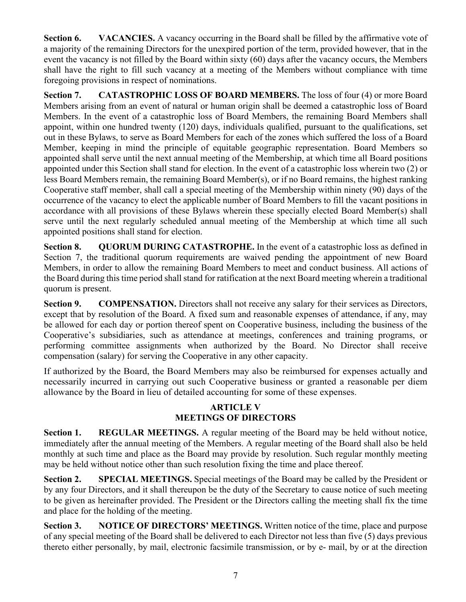**Section 6. VACANCIES.** A vacancy occurring in the Board shall be filled by the affirmative vote of a majority of the remaining Directors for the unexpired portion of the term, provided however, that in the event the vacancy is not filled by the Board within sixty (60) days after the vacancy occurs, the Members shall have the right to fill such vacancy at a meeting of the Members without compliance with time foregoing provisions in respect of nominations.

**Section 7. CATASTROPHIC LOSS OF BOARD MEMBERS.** The loss of four (4) or more Board Members arising from an event of natural or human origin shall be deemed a catastrophic loss of Board Members. In the event of a catastrophic loss of Board Members, the remaining Board Members shall appoint, within one hundred twenty (120) days, individuals qualified, pursuant to the qualifications, set out in these Bylaws, to serve as Board Members for each of the zones which suffered the loss of a Board Member, keeping in mind the principle of equitable geographic representation. Board Members so appointed shall serve until the next annual meeting of the Membership, at which time all Board positions appointed under this Section shall stand for election. In the event of a catastrophic loss wherein two (2) or less Board Members remain, the remaining Board Member(s), or if no Board remains, the highest ranking Cooperative staff member, shall call a special meeting of the Membership within ninety (90) days of the occurrence of the vacancy to elect the applicable number of Board Members to fill the vacant positions in accordance with all provisions of these Bylaws wherein these specially elected Board Member(s) shall serve until the next regularly scheduled annual meeting of the Membership at which time all such appointed positions shall stand for election.

**Section 8. QUORUM DURING CATASTROPHE.** In the event of a catastrophic loss as defined in Section 7, the traditional quorum requirements are waived pending the appointment of new Board Members, in order to allow the remaining Board Members to meet and conduct business. All actions of the Board during this time period shall stand for ratification at the next Board meeting wherein a traditional quorum is present.

**Section 9. COMPENSATION.** Directors shall not receive any salary for their services as Directors, except that by resolution of the Board. A fixed sum and reasonable expenses of attendance, if any, may be allowed for each day or portion thereof spent on Cooperative business, including the business of the Cooperative's subsidiaries, such as attendance at meetings, conferences and training programs, or performing committee assignments when authorized by the Board. No Director shall receive compensation (salary) for serving the Cooperative in any other capacity.

If authorized by the Board, the Board Members may also be reimbursed for expenses actually and necessarily incurred in carrying out such Cooperative business or granted a reasonable per diem allowance by the Board in lieu of detailed accounting for some of these expenses.

### **ARTICLE V MEETINGS OF DIRECTORS**

**Section 1. REGULAR MEETINGS.** A regular meeting of the Board may be held without notice, immediately after the annual meeting of the Members. A regular meeting of the Board shall also be held monthly at such time and place as the Board may provide by resolution. Such regular monthly meeting may be held without notice other than such resolution fixing the time and place thereof.

**Section 2. SPECIAL MEETINGS.** Special meetings of the Board may be called by the President or by any four Directors, and it shall thereupon be the duty of the Secretary to cause notice of such meeting to be given as hereinafter provided. The President or the Directors calling the meeting shall fix the time and place for the holding of the meeting.

**Section 3. NOTICE OF DIRECTORS' MEETINGS.** Written notice of the time, place and purpose of any special meeting of the Board shall be delivered to each Director not less than five (5) days previous thereto either personally, by mail, electronic facsimile transmission, or by e- mail, by or at the direction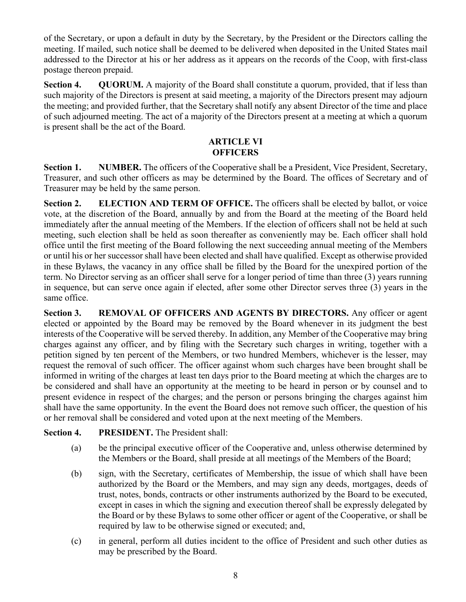of the Secretary, or upon a default in duty by the Secretary, by the President or the Directors calling the meeting. If mailed, such notice shall be deemed to be delivered when deposited in the United States mail addressed to the Director at his or her address as it appears on the records of the Coop, with first-class postage thereon prepaid.

**Section 4. QUORUM.** A majority of the Board shall constitute a quorum, provided, that if less than such majority of the Directors is present at said meeting, a majority of the Directors present may adjourn the meeting; and provided further, that the Secretary shall notify any absent Director of the time and place of such adjourned meeting. The act of a majority of the Directors present at a meeting at which a quorum is present shall be the act of the Board.

#### **ARTICLE VI OFFICERS**

**Section 1. NUMBER.** The officers of the Cooperative shall be a President, Vice President, Secretary, Treasurer, and such other officers as may be determined by the Board. The offices of Secretary and of Treasurer may be held by the same person.

**Section 2. ELECTION AND TERM OF OFFICE.** The officers shall be elected by ballot, or voice vote, at the discretion of the Board, annually by and from the Board at the meeting of the Board held immediately after the annual meeting of the Members. If the election of officers shall not be held at such meeting, such election shall be held as soon thereafter as conveniently may be. Each officer shall hold office until the first meeting of the Board following the next succeeding annual meeting of the Members or until his or her successor shall have been elected and shall have qualified. Except as otherwise provided in these Bylaws, the vacancy in any office shall be filled by the Board for the unexpired portion of the term. No Director serving as an officer shall serve for a longer period of time than three (3) years running in sequence, but can serve once again if elected, after some other Director serves three (3) years in the same office.

**Section 3. REMOVAL OF OFFICERS AND AGENTS BY DIRECTORS.** Any officer or agent elected or appointed by the Board may be removed by the Board whenever in its judgment the best interests of the Cooperative will be served thereby. In addition, any Member of the Cooperative may bring charges against any officer, and by filing with the Secretary such charges in writing, together with a petition signed by ten percent of the Members, or two hundred Members, whichever is the lesser, may request the removal of such officer. The officer against whom such charges have been brought shall be informed in writing of the charges at least ten days prior to the Board meeting at which the charges are to be considered and shall have an opportunity at the meeting to be heard in person or by counsel and to present evidence in respect of the charges; and the person or persons bringing the charges against him shall have the same opportunity. In the event the Board does not remove such officer, the question of his or her removal shall be considered and voted upon at the next meeting of the Members.

## **Section 4. PRESIDENT.** The President shall:

- (a) be the principal executive officer of the Cooperative and, unless otherwise determined by the Members or the Board, shall preside at all meetings of the Members of the Board;
- (b) sign, with the Secretary, certificates of Membership, the issue of which shall have been authorized by the Board or the Members, and may sign any deeds, mortgages, deeds of trust, notes, bonds, contracts or other instruments authorized by the Board to be executed, except in cases in which the signing and execution thereof shall be expressly delegated by the Board or by these Bylaws to some other officer or agent of the Cooperative, or shall be required by law to be otherwise signed or executed; and,
- (c) in general, perform all duties incident to the office of President and such other duties as may be prescribed by the Board.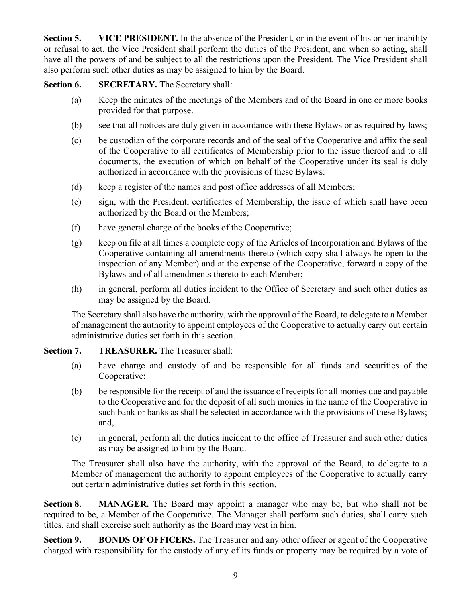**Section 5. VICE PRESIDENT.** In the absence of the President, or in the event of his or her inability or refusal to act, the Vice President shall perform the duties of the President, and when so acting, shall have all the powers of and be subject to all the restrictions upon the President. The Vice President shall also perform such other duties as may be assigned to him by the Board.

**Section 6. SECRETARY.** The Secretary shall:

- (a) Keep the minutes of the meetings of the Members and of the Board in one or more books provided for that purpose.
- (b) see that all notices are duly given in accordance with these Bylaws or as required by laws;
- (c) be custodian of the corporate records and of the seal of the Cooperative and affix the seal of the Cooperative to all certificates of Membership prior to the issue thereof and to all documents, the execution of which on behalf of the Cooperative under its seal is duly authorized in accordance with the provisions of these Bylaws:
- (d) keep a register of the names and post office addresses of all Members;
- (e) sign, with the President, certificates of Membership, the issue of which shall have been authorized by the Board or the Members;
- (f) have general charge of the books of the Cooperative;
- (g) keep on file at all times a complete copy of the Articles of Incorporation and Bylaws of the Cooperative containing all amendments thereto (which copy shall always be open to the inspection of any Member) and at the expense of the Cooperative, forward a copy of the Bylaws and of all amendments thereto to each Member;
- (h) in general, perform all duties incident to the Office of Secretary and such other duties as may be assigned by the Board.

The Secretary shall also have the authority, with the approval of the Board, to delegate to a Member of management the authority to appoint employees of the Cooperative to actually carry out certain administrative duties set forth in this section.

# **Section 7. TREASURER.** The Treasurer shall:

- (a) have charge and custody of and be responsible for all funds and securities of the Cooperative:
- (b) be responsible for the receipt of and the issuance of receipts for all monies due and payable to the Cooperative and for the deposit of all such monies in the name of the Cooperative in such bank or banks as shall be selected in accordance with the provisions of these Bylaws; and,
- (c) in general, perform all the duties incident to the office of Treasurer and such other duties as may be assigned to him by the Board.

The Treasurer shall also have the authority, with the approval of the Board, to delegate to a Member of management the authority to appoint employees of the Cooperative to actually carry out certain administrative duties set forth in this section.

**Section 8. MANAGER.** The Board may appoint a manager who may be, but who shall not be required to be, a Member of the Cooperative. The Manager shall perform such duties, shall carry such titles, and shall exercise such authority as the Board may vest in him.

**Section 9. BONDS OF OFFICERS.** The Treasurer and any other officer or agent of the Cooperative charged with responsibility for the custody of any of its funds or property may be required by a vote of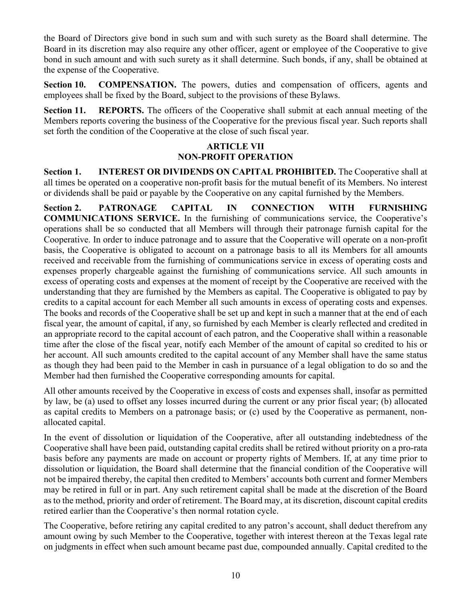the Board of Directors give bond in such sum and with such surety as the Board shall determine. The Board in its discretion may also require any other officer, agent or employee of the Cooperative to give bond in such amount and with such surety as it shall determine. Such bonds, if any, shall be obtained at the expense of the Cooperative.

**Section 10. COMPENSATION.** The powers, duties and compensation of officers, agents and employees shall be fixed by the Board, subject to the provisions of these Bylaws.

**Section 11. REPORTS.** The officers of the Cooperative shall submit at each annual meeting of the Members reports covering the business of the Cooperative for the previous fiscal year. Such reports shall set forth the condition of the Cooperative at the close of such fiscal year.

#### **ARTICLE VII NON-PROFIT OPERATION**

**Section 1. INTEREST OR DIVIDENDS ON CAPITAL PROHIBITED.** The Cooperative shall at all times be operated on a cooperative non-profit basis for the mutual benefit of its Members. No interest or dividends shall be paid or payable by the Cooperative on any capital furnished by the Members.

**Section 2. PATRONAGE CAPITAL IN CONNECTION WITH FURNISHING COMMUNICATIONS SERVICE.** In the furnishing of communications service, the Cooperative's operations shall be so conducted that all Members will through their patronage furnish capital for the Cooperative. In order to induce patronage and to assure that the Cooperative will operate on a non-profit basis, the Cooperative is obligated to account on a patronage basis to all its Members for all amounts received and receivable from the furnishing of communications service in excess of operating costs and expenses properly chargeable against the furnishing of communications service. All such amounts in excess of operating costs and expenses at the moment of receipt by the Cooperative are received with the understanding that they are furnished by the Members as capital. The Cooperative is obligated to pay by credits to a capital account for each Member all such amounts in excess of operating costs and expenses. The books and records of the Cooperative shall be set up and kept in such a manner that at the end of each fiscal year, the amount of capital, if any, so furnished by each Member is clearly reflected and credited in an appropriate record to the capital account of each patron, and the Cooperative shall within a reasonable time after the close of the fiscal year, notify each Member of the amount of capital so credited to his or her account. All such amounts credited to the capital account of any Member shall have the same status as though they had been paid to the Member in cash in pursuance of a legal obligation to do so and the Member had then furnished the Cooperative corresponding amounts for capital.

All other amounts received by the Cooperative in excess of costs and expenses shall, insofar as permitted by law, be (a) used to offset any losses incurred during the current or any prior fiscal year; (b) allocated as capital credits to Members on a patronage basis; or (c) used by the Cooperative as permanent, nonallocated capital.

In the event of dissolution or liquidation of the Cooperative, after all outstanding indebtedness of the Cooperative shall have been paid, outstanding capital credits shall be retired without priority on a pro-rata basis before any payments are made on account or property rights of Members. If, at any time prior to dissolution or liquidation, the Board shall determine that the financial condition of the Cooperative will not be impaired thereby, the capital then credited to Members' accounts both current and former Members may be retired in full or in part. Any such retirement capital shall be made at the discretion of the Board as to the method, priority and order of retirement. The Board may, at its discretion, discount capital credits retired earlier than the Cooperative's then normal rotation cycle.

The Cooperative, before retiring any capital credited to any patron's account, shall deduct therefrom any amount owing by such Member to the Cooperative, together with interest thereon at the Texas legal rate on judgments in effect when such amount became past due, compounded annually. Capital credited to the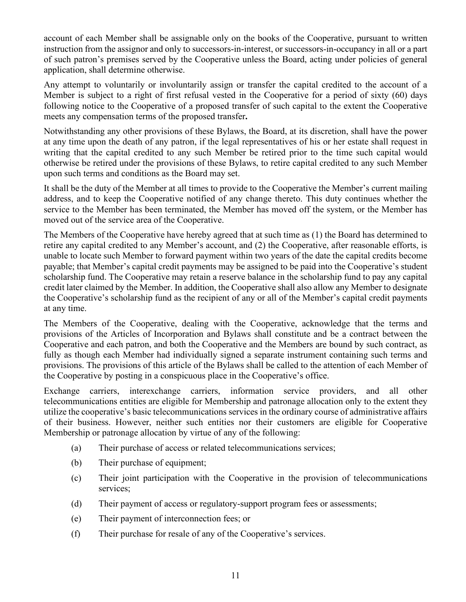account of each Member shall be assignable only on the books of the Cooperative, pursuant to written instruction from the assignor and only to successors-in-interest, or successors-in-occupancy in all or a part of such patron's premises served by the Cooperative unless the Board, acting under policies of general application, shall determine otherwise.

Any attempt to voluntarily or involuntarily assign or transfer the capital credited to the account of a Member is subject to a right of first refusal vested in the Cooperative for a period of sixty (60) days following notice to the Cooperative of a proposed transfer of such capital to the extent the Cooperative meets any compensation terms of the proposed transfer**.**

Notwithstanding any other provisions of these Bylaws, the Board, at its discretion, shall have the power at any time upon the death of any patron, if the legal representatives of his or her estate shall request in writing that the capital credited to any such Member be retired prior to the time such capital would otherwise be retired under the provisions of these Bylaws, to retire capital credited to any such Member upon such terms and conditions as the Board may set.

It shall be the duty of the Member at all times to provide to the Cooperative the Member's current mailing address, and to keep the Cooperative notified of any change thereto. This duty continues whether the service to the Member has been terminated, the Member has moved off the system, or the Member has moved out of the service area of the Cooperative.

The Members of the Cooperative have hereby agreed that at such time as (1) the Board has determined to retire any capital credited to any Member's account, and (2) the Cooperative, after reasonable efforts, is unable to locate such Member to forward payment within two years of the date the capital credits become payable; that Member's capital credit payments may be assigned to be paid into the Cooperative's student scholarship fund. The Cooperative may retain a reserve balance in the scholarship fund to pay any capital credit later claimed by the Member. In addition, the Cooperative shall also allow any Member to designate the Cooperative's scholarship fund as the recipient of any or all of the Member's capital credit payments at any time.

The Members of the Cooperative, dealing with the Cooperative, acknowledge that the terms and provisions of the Articles of Incorporation and Bylaws shall constitute and be a contract between the Cooperative and each patron, and both the Cooperative and the Members are bound by such contract, as fully as though each Member had individually signed a separate instrument containing such terms and provisions. The provisions of this article of the Bylaws shall be called to the attention of each Member of the Cooperative by posting in a conspicuous place in the Cooperative's office.

Exchange carriers, interexchange carriers, information service providers, and all other telecommunications entities are eligible for Membership and patronage allocation only to the extent they utilize the cooperative's basic telecommunications services in the ordinary course of administrative affairs of their business. However, neither such entities nor their customers are eligible for Cooperative Membership or patronage allocation by virtue of any of the following:

- (a) Their purchase of access or related telecommunications services;
- (b) Their purchase of equipment;
- (c) Their joint participation with the Cooperative in the provision of telecommunications services;
- (d) Their payment of access or regulatory-support program fees or assessments;
- (e) Their payment of interconnection fees; or
- (f) Their purchase for resale of any of the Cooperative's services.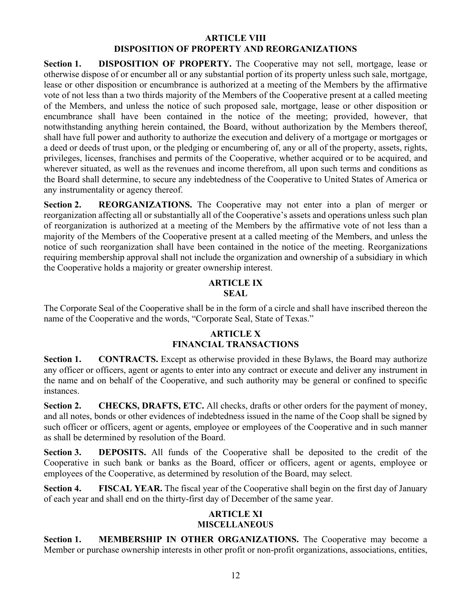#### **ARTICLE VIII DISPOSITION OF PROPERTY AND REORGANIZATIONS**

**Section 1. DISPOSITION OF PROPERTY.** The Cooperative may not sell, mortgage, lease or otherwise dispose of or encumber all or any substantial portion of its property unless such sale, mortgage, lease or other disposition or encumbrance is authorized at a meeting of the Members by the affirmative vote of not less than a two thirds majority of the Members of the Cooperative present at a called meeting of the Members, and unless the notice of such proposed sale, mortgage, lease or other disposition or encumbrance shall have been contained in the notice of the meeting; provided, however, that notwithstanding anything herein contained, the Board, without authorization by the Members thereof, shall have full power and authority to authorize the execution and delivery of a mortgage or mortgages or a deed or deeds of trust upon, or the pledging or encumbering of, any or all of the property, assets, rights, privileges, licenses, franchises and permits of the Cooperative, whether acquired or to be acquired, and wherever situated, as well as the revenues and income therefrom, all upon such terms and conditions as the Board shall determine, to secure any indebtedness of the Cooperative to United States of America or any instrumentality or agency thereof.

**Section 2. REORGANIZATIONS.** The Cooperative may not enter into a plan of merger or reorganization affecting all or substantially all of the Cooperative's assets and operations unless such plan of reorganization is authorized at a meeting of the Members by the affirmative vote of not less than a majority of the Members of the Cooperative present at a called meeting of the Members, and unless the notice of such reorganization shall have been contained in the notice of the meeting. Reorganizations requiring membership approval shall not include the organization and ownership of a subsidiary in which the Cooperative holds a majority or greater ownership interest.

### **ARTICLE IX SEAL**

The Corporate Seal of the Cooperative shall be in the form of a circle and shall have inscribed thereon the name of the Cooperative and the words, "Corporate Seal, State of Texas."

## **ARTICLE X FINANCIAL TRANSACTIONS**

**Section 1. CONTRACTS.** Except as otherwise provided in these Bylaws, the Board may authorize any officer or officers, agent or agents to enter into any contract or execute and deliver any instrument in the name and on behalf of the Cooperative, and such authority may be general or confined to specific instances.

**Section 2. CHECKS, DRAFTS, ETC.** All checks, drafts or other orders for the payment of money, and all notes, bonds or other evidences of indebtedness issued in the name of the Coop shall be signed by such officer or officers, agent or agents, employee or employees of the Cooperative and in such manner as shall be determined by resolution of the Board.

**Section 3. DEPOSITS.** All funds of the Cooperative shall be deposited to the credit of the Cooperative in such bank or banks as the Board, officer or officers, agent or agents, employee or employees of the Cooperative, as determined by resolution of the Board, may select.

**Section 4. FISCAL YEAR.** The fiscal year of the Cooperative shall begin on the first day of January of each year and shall end on the thirty-first day of December of the same year.

#### **ARTICLE XI MISCELLANEOUS**

**Section 1. MEMBERSHIP IN OTHER ORGANIZATIONS.** The Cooperative may become a Member or purchase ownership interests in other profit or non-profit organizations, associations, entities,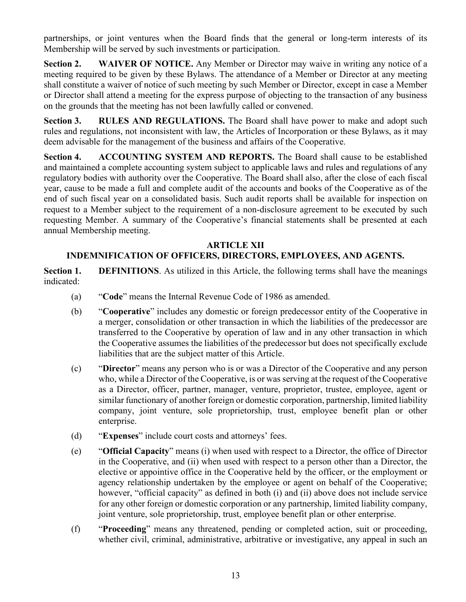partnerships, or joint ventures when the Board finds that the general or long-term interests of its Membership will be served by such investments or participation.

**Section 2. WAIVER OF NOTICE.** Any Member or Director may waive in writing any notice of a meeting required to be given by these Bylaws. The attendance of a Member or Director at any meeting shall constitute a waiver of notice of such meeting by such Member or Director, except in case a Member or Director shall attend a meeting for the express purpose of objecting to the transaction of any business on the grounds that the meeting has not been lawfully called or convened.

**Section 3. RULES AND REGULATIONS.** The Board shall have power to make and adopt such rules and regulations, not inconsistent with law, the Articles of Incorporation or these Bylaws, as it may deem advisable for the management of the business and affairs of the Cooperative.

**Section 4. ACCOUNTING SYSTEM AND REPORTS.** The Board shall cause to be established and maintained a complete accounting system subject to applicable laws and rules and regulations of any regulatory bodies with authority over the Cooperative. The Board shall also, after the close of each fiscal year, cause to be made a full and complete audit of the accounts and books of the Cooperative as of the end of such fiscal year on a consolidated basis. Such audit reports shall be available for inspection on request to a Member subject to the requirement of a non-disclosure agreement to be executed by such requesting Member. A summary of the Cooperative's financial statements shall be presented at each annual Membership meeting.

## **ARTICLE XII**

# **INDEMNIFICATION OF OFFICERS, DIRECTORS, EMPLOYEES, AND AGENTS.**

**Section 1. DEFINITIONS**. As utilized in this Article, the following terms shall have the meanings indicated:

- (a) "**Code**" means the Internal Revenue Code of 1986 as amended.
- (b) "**Cooperative**" includes any domestic or foreign predecessor entity of the Cooperative in a merger, consolidation or other transaction in which the liabilities of the predecessor are transferred to the Cooperative by operation of law and in any other transaction in which the Cooperative assumes the liabilities of the predecessor but does not specifically exclude liabilities that are the subject matter of this Article.
- (c) "**Director**" means any person who is or was a Director of the Cooperative and any person who, while a Director of the Cooperative, is or was serving at the request of the Cooperative as a Director, officer, partner, manager, venture, proprietor, trustee, employee, agent or similar functionary of another foreign or domestic corporation, partnership, limited liability company, joint venture, sole proprietorship, trust, employee benefit plan or other enterprise.
- (d) "**Expenses**" include court costs and attorneys' fees.
- (e) "**Official Capacity**" means (i) when used with respect to a Director, the office of Director in the Cooperative, and (ii) when used with respect to a person other than a Director, the elective or appointive office in the Cooperative held by the officer, or the employment or agency relationship undertaken by the employee or agent on behalf of the Cooperative; however, "official capacity" as defined in both (i) and (ii) above does not include service for any other foreign or domestic corporation or any partnership, limited liability company, joint venture, sole proprietorship, trust, employee benefit plan or other enterprise.
- (f) "**Proceeding**" means any threatened, pending or completed action, suit or proceeding, whether civil, criminal, administrative, arbitrative or investigative, any appeal in such an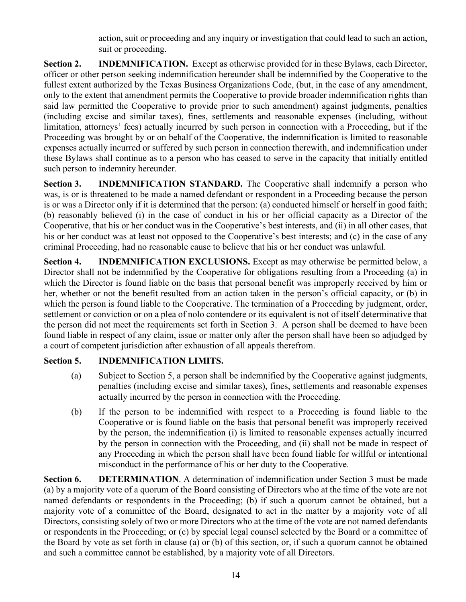action, suit or proceeding and any inquiry or investigation that could lead to such an action, suit or proceeding.

**Section 2. INDEMNIFICATION.** Except as otherwise provided for in these Bylaws, each Director, officer or other person seeking indemnification hereunder shall be indemnified by the Cooperative to the fullest extent authorized by the Texas Business Organizations Code, (but, in the case of any amendment, only to the extent that amendment permits the Cooperative to provide broader indemnification rights than said law permitted the Cooperative to provide prior to such amendment) against judgments, penalties (including excise and similar taxes), fines, settlements and reasonable expenses (including, without limitation, attorneys' fees) actually incurred by such person in connection with a Proceeding, but if the Proceeding was brought by or on behalf of the Cooperative, the indemnification is limited to reasonable expenses actually incurred or suffered by such person in connection therewith, and indemnification under these Bylaws shall continue as to a person who has ceased to serve in the capacity that initially entitled such person to indemnity hereunder.

**Section 3. INDEMNIFICATION STANDARD.** The Cooperative shall indemnify a person who was, is or is threatened to be made a named defendant or respondent in a Proceeding because the person is or was a Director only if it is determined that the person: (a) conducted himself or herself in good faith; (b) reasonably believed (i) in the case of conduct in his or her official capacity as a Director of the Cooperative, that his or her conduct was in the Cooperative's best interests, and (ii) in all other cases, that his or her conduct was at least not opposed to the Cooperative's best interests; and (c) in the case of any criminal Proceeding, had no reasonable cause to believe that his or her conduct was unlawful.

**Section 4. INDEMNIFICATION EXCLUSIONS.** Except as may otherwise be permitted below, a Director shall not be indemnified by the Cooperative for obligations resulting from a Proceeding (a) in which the Director is found liable on the basis that personal benefit was improperly received by him or her, whether or not the benefit resulted from an action taken in the person's official capacity, or (b) in which the person is found liable to the Cooperative. The termination of a Proceeding by judgment, order, settlement or conviction or on a plea of nolo contendere or its equivalent is not of itself determinative that the person did not meet the requirements set forth in Section 3. A person shall be deemed to have been found liable in respect of any claim, issue or matter only after the person shall have been so adjudged by a court of competent jurisdiction after exhaustion of all appeals therefrom.

## **Section 5. INDEMNIFICATION LIMITS.**

- (a) Subject to Section 5, a person shall be indemnified by the Cooperative against judgments, penalties (including excise and similar taxes), fines, settlements and reasonable expenses actually incurred by the person in connection with the Proceeding.
- (b) If the person to be indemnified with respect to a Proceeding is found liable to the Cooperative or is found liable on the basis that personal benefit was improperly received by the person, the indemnification (i) is limited to reasonable expenses actually incurred by the person in connection with the Proceeding, and (ii) shall not be made in respect of any Proceeding in which the person shall have been found liable for willful or intentional misconduct in the performance of his or her duty to the Cooperative.

**Section 6. DETERMINATION**. A determination of indemnification under Section 3 must be made (a) by a majority vote of a quorum of the Board consisting of Directors who at the time of the vote are not named defendants or respondents in the Proceeding; (b) if such a quorum cannot be obtained, but a majority vote of a committee of the Board, designated to act in the matter by a majority vote of all Directors, consisting solely of two or more Directors who at the time of the vote are not named defendants or respondents in the Proceeding; or (c) by special legal counsel selected by the Board or a committee of the Board by vote as set forth in clause (a) or (b) of this section, or, if such a quorum cannot be obtained and such a committee cannot be established, by a majority vote of all Directors.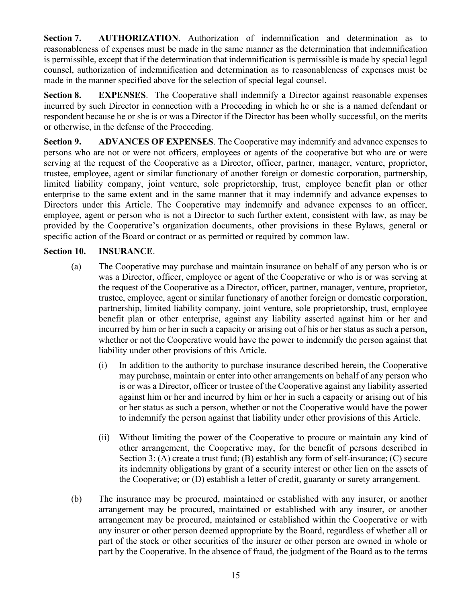**Section 7. AUTHORIZATION**. Authorization of indemnification and determination as to reasonableness of expenses must be made in the same manner as the determination that indemnification is permissible, except that if the determination that indemnification is permissible is made by special legal counsel, authorization of indemnification and determination as to reasonableness of expenses must be made in the manner specified above for the selection of special legal counsel.

**Section 8. EXPENSES**. The Cooperative shall indemnify a Director against reasonable expenses incurred by such Director in connection with a Proceeding in which he or she is a named defendant or respondent because he or she is or was a Director if the Director has been wholly successful, on the merits or otherwise, in the defense of the Proceeding.

**Section 9. ADVANCES OF EXPENSES**. The Cooperative may indemnify and advance expenses to persons who are not or were not officers, employees or agents of the cooperative but who are or were serving at the request of the Cooperative as a Director, officer, partner, manager, venture, proprietor, trustee, employee, agent or similar functionary of another foreign or domestic corporation, partnership, limited liability company, joint venture, sole proprietorship, trust, employee benefit plan or other enterprise to the same extent and in the same manner that it may indemnify and advance expenses to Directors under this Article. The Cooperative may indemnify and advance expenses to an officer, employee, agent or person who is not a Director to such further extent, consistent with law, as may be provided by the Cooperative's organization documents, other provisions in these Bylaws, general or specific action of the Board or contract or as permitted or required by common law.

# **Section 10. INSURANCE**.

- (a) The Cooperative may purchase and maintain insurance on behalf of any person who is or was a Director, officer, employee or agent of the Cooperative or who is or was serving at the request of the Cooperative as a Director, officer, partner, manager, venture, proprietor, trustee, employee, agent or similar functionary of another foreign or domestic corporation, partnership, limited liability company, joint venture, sole proprietorship, trust, employee benefit plan or other enterprise, against any liability asserted against him or her and incurred by him or her in such a capacity or arising out of his or her status as such a person, whether or not the Cooperative would have the power to indemnify the person against that liability under other provisions of this Article.
	- (i) In addition to the authority to purchase insurance described herein, the Cooperative may purchase, maintain or enter into other arrangements on behalf of any person who is or was a Director, officer or trustee of the Cooperative against any liability asserted against him or her and incurred by him or her in such a capacity or arising out of his or her status as such a person, whether or not the Cooperative would have the power to indemnify the person against that liability under other provisions of this Article.
	- (ii) Without limiting the power of the Cooperative to procure or maintain any kind of other arrangement, the Cooperative may, for the benefit of persons described in Section 3: (A) create a trust fund; (B) establish any form of self-insurance; (C) secure its indemnity obligations by grant of a security interest or other lien on the assets of the Cooperative; or (D) establish a letter of credit, guaranty or surety arrangement.
- (b) The insurance may be procured, maintained or established with any insurer, or another arrangement may be procured, maintained or established with any insurer, or another arrangement may be procured, maintained or established within the Cooperative or with any insurer or other person deemed appropriate by the Board, regardless of whether all or part of the stock or other securities of the insurer or other person are owned in whole or part by the Cooperative. In the absence of fraud, the judgment of the Board as to the terms